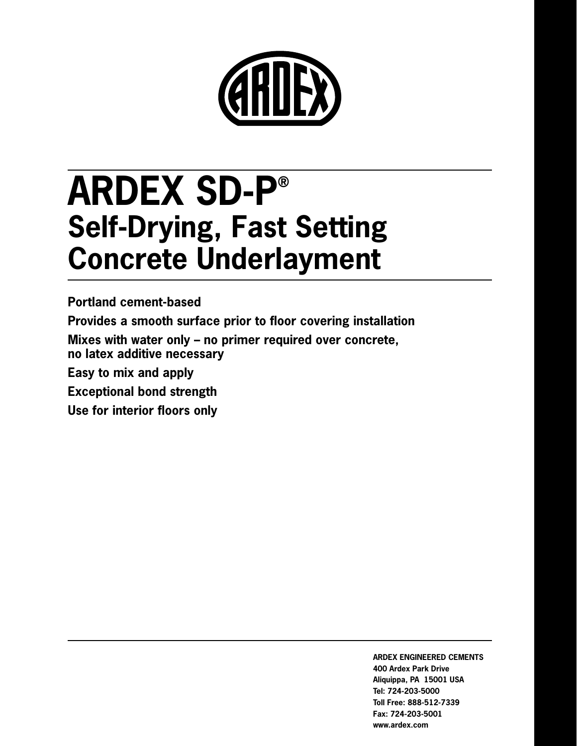

# **ARDEX SD-P® Self-Drying, Fast Setting Concrete Underlayment**

**Portland cement-based Provides a smooth surface prior to floor covering installation**

**Mixes with water only – no primer required over concrete, no latex additive necessary**

**Easy to mix and apply**

**Exceptional bond strength**

**Use for interior floors only**

**ARDEX ENGINEERED CEMENTS 400 Ardex Park Drive Aliquippa, PA 15001 USA Tel: 724-203-5000 Toll Free: 888-512-7339 Fax: 724-203-5001 www.ardex.com**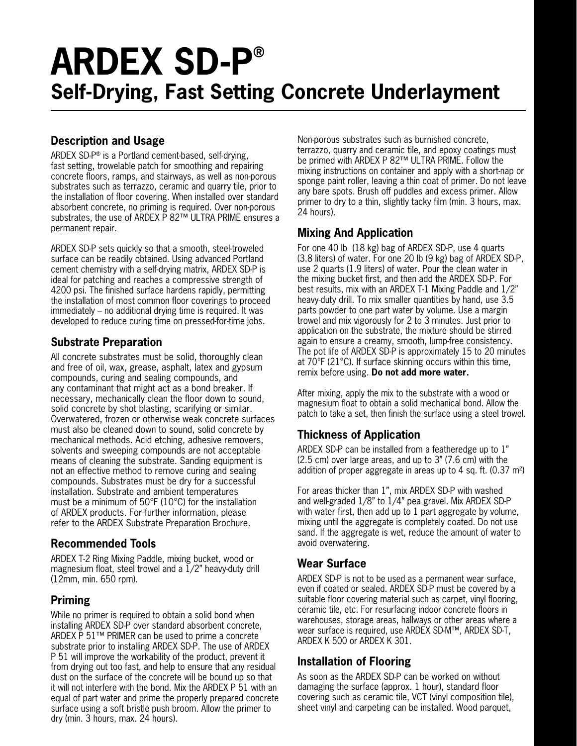## **ARDEX SD-P® Self-Drying, Fast Setting Concrete Underlayment**

## **Description and Usage**

ARDEX SD-P® is a Portland cement-based, self-drying, fast setting, trowelable patch for smoothing and repairing concrete floors, ramps, and stairways, as well as non-porous substrates such as terrazzo, ceramic and quarry tile, prior to the installation of floor covering. When installed over standard absorbent concrete, no priming is required. Over non-porous substrates, the use of ARDEX P 82™ ULTRA PRIME ensures a permanent repair.

ARDEX SD-P sets quickly so that a smooth, steel-troweled surface can be readily obtained. Using advanced Portland cement chemistry with a self-drying matrix, ARDEX SD-P is ideal for patching and reaches a compressive strength of 4200 psi. The finished surface hardens rapidly, permitting the installation of most common floor coverings to proceed immediately – no additional drying time is required. It was developed to reduce curing time on pressed-for-time jobs.

## **Substrate Preparation**

All concrete substrates must be solid, thoroughly clean and free of oil, wax, grease, asphalt, latex and gypsum compounds, curing and sealing compounds, and any contaminant that might act as a bond breaker. If necessary, mechanically clean the floor down to sound, solid concrete by shot blasting, scarifying or similar. Overwatered, frozen or otherwise weak concrete surfaces must also be cleaned down to sound, solid concrete by mechanical methods. Acid etching, adhesive removers, solvents and sweeping compounds are not acceptable means of cleaning the substrate. Sanding equipment is not an effective method to remove curing and sealing compounds. Substrates must be dry for a successful installation. Substrate and ambient temperatures must be a minimum of 50°F (10°C) for the installation of ARDEX products. For further information, please refer to the ARDEX Substrate Preparation Brochure.

## **Recommended Tools**

ARDEX T-2 Ring Mixing Paddle, mixing bucket, wood or magnesium float, steel trowel and a 1/2" heavy-duty drill (12mm, min. 650 rpm).

## **Priming**

While no primer is required to obtain a solid bond when installing ARDEX SD-P over standard absorbent concrete, ARDEX P 51™ PRIMER can be used to prime a concrete substrate prior to installing ARDEX SD-P. The use of ARDEX P 51 will improve the workability of the product, prevent it from drying out too fast, and help to ensure that any residual dust on the surface of the concrete will be bound up so that it will not interfere with the bond. Mix the ARDEX P 51 with an equal of part water and prime the properly prepared concrete surface using a soft bristle push broom. Allow the primer to dry (min. 3 hours, max. 24 hours).

Non-porous substrates such as burnished concrete, terrazzo, quarry and ceramic tile, and epoxy coatings must be primed with ARDEX P 82™ ULTRA PRIME. Follow the mixing instructions on container and apply with a short-nap or sponge paint roller, leaving a thin coat of primer. Do not leave any bare spots. Brush off puddles and excess primer. Allow primer to dry to a thin, slightly tacky film (min. 3 hours, max. 24 hours).

## **Mixing And Application**

For one 40 lb (18 kg) bag of ARDEX SD-P, use 4 quarts (3.8 liters) of water. For one 20 lb (9 kg) bag of ARDEX SD-P, use 2 quarts (1.9 liters) of water. Pour the clean water in the mixing bucket first, and then add the ARDEX SD-P. For best results, mix with an ARDEX T-1 Mixing Paddle and 1/2" heavy-duty drill. To mix smaller quantities by hand, use 3.5 parts powder to one part water by volume. Use a margin trowel and mix vigorously for 2 to 3 minutes. Just prior to application on the substrate, the mixture should be stirred again to ensure a creamy, smooth, lump-free consistency. The pot life of ARDEX SD-P is approximately 15 to 20 minutes at 70°F (21°C). If surface skinning occurs within this time, remix before using. **Do not add more water.**

After mixing, apply the mix to the substrate with a wood or magnesium float to obtain a solid mechanical bond. Allow the patch to take a set, then finish the surface using a steel trowel.

## **Thickness of Application**

ARDEX SD-P can be installed from a featheredge up to 1" (2.5 cm) over large areas, and up to 3" (7.6 cm) with the addition of proper aggregate in areas up to 4 sq. ft.  $(0.37 \text{ m}^2)$ 

For areas thicker than 1", mix ARDEX SD-P with washed and well-graded 1/8" to 1/4" pea gravel. Mix ARDEX SD-P with water first, then add up to 1 part aggregate by volume, mixing until the aggregate is completely coated. Do not use sand. If the aggregate is wet, reduce the amount of water to avoid overwatering.

## **Wear Surface**

ARDEX SD-P is not to be used as a permanent wear surface, even if coated or sealed. ARDEX SD-P must be covered by a suitable floor covering material such as carpet, vinyl flooring, ceramic tile, etc. For resurfacing indoor concrete floors in warehouses, storage areas, hallways or other areas where a wear surface is required, use ARDEX SD-M™, ARDEX SD-T, ARDEX K 500 or ARDEX K 301.

## **Installation of Flooring**

As soon as the ARDEX SD-P can be worked on without damaging the surface (approx. 1 hour), standard floor covering such as ceramic tile, VCT (vinyl composition tile), sheet vinyl and carpeting can be installed. Wood parquet,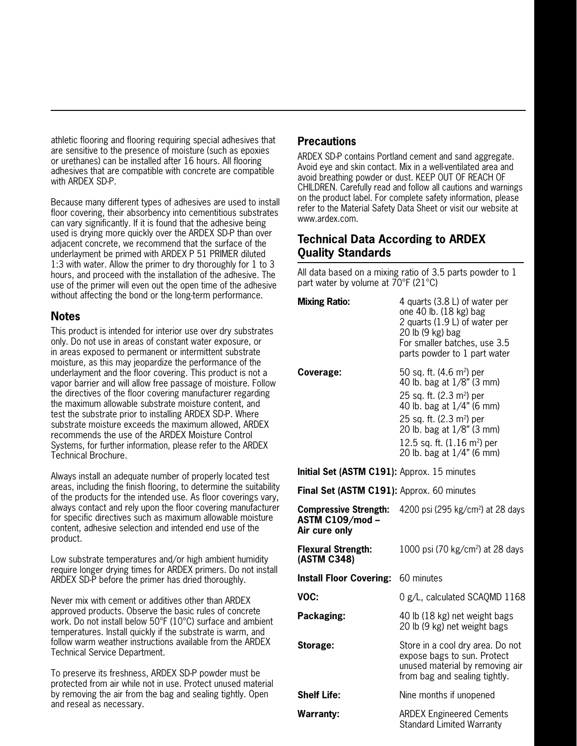athletic flooring and flooring requiring special adhesives that are sensitive to the presence of moisture (such as epoxies or urethanes) can be installed after 16 hours. All flooring adhesives that are compatible with concrete are compatible with ARDEX SD-P.

Because many different types of adhesives are used to install floor covering, their absorbency into cementitious substrates can vary significantly. If it is found that the adhesive being used is drying more quickly over the ARDEX SD-P than over adjacent concrete, we recommend that the surface of the underlayment be primed with ARDEX P 51 PRIMER diluted 1:3 with water. Allow the primer to dry thoroughly for 1 to 3 hours, and proceed with the installation of the adhesive. The use of the primer will even out the open time of the adhesive without affecting the bond or the long-term performance.

#### **Notes**

This product is intended for interior use over dry substrates only. Do not use in areas of constant water exposure, or in areas exposed to permanent or intermittent substrate moisture, as this may jeopardize the performance of the underlayment and the floor covering. This product is not a vapor barrier and will allow free passage of moisture. Follow the directives of the floor covering manufacturer regarding the maximum allowable substrate moisture content, and test the substrate prior to installing ARDEX SD-P. Where substrate moisture exceeds the maximum allowed, ARDEX recommends the use of the ARDEX Moisture Control Systems, for further information, please refer to the ARDEX Technical Brochure.

Always install an adequate number of properly located test areas, including the finish flooring, to determine the suitability of the products for the intended use. As floor coverings vary, always contact and rely upon the floor covering manufacturer for specific directives such as maximum allowable moisture content, adhesive selection and intended end use of the product.

Low substrate temperatures and/or high ambient humidity require longer drying times for ARDEX primers. Do not install ARDEX SD-P before the primer has dried thoroughly.

Never mix with cement or additives other than ARDEX approved products. Observe the basic rules of concrete work. Do not install below 50°F (10°C) surface and ambient temperatures. Install quickly if the substrate is warm, and follow warm weather instructions available from the ARDEX Technical Service Department.

To preserve its freshness, ARDEX SD-P powder must be protected from air while not in use. Protect unused material by removing the air from the bag and sealing tightly. Open and reseal as necessary.

### **Precautions**

ARDEX SD-P contains Portland cement and sand aggregate. Avoid eye and skin contact. Mix in a well-ventilated area and avoid breathing powder or dust. KEEP OUT OF REACH OF CHILDREN. Carefully read and follow all cautions and warnings on the product label. For complete safety information, please refer to the Material Safety Data Sheet or visit our website at www.ardex.com.

## **Technical Data According to ARDEX Quality Standards**

All data based on a mixing ratio of 3.5 parts powder to 1 part water by volume at 70°F (21°C)

| <b>Mixing Ratio:</b> | 4 quarts (3.8 L) of water per<br>one 40 lb. (18 kg) bag<br>2 quarts (1.9 L) of water per<br>20 lb (9 kg) bag<br>For smaller batches, use 3.5<br>parts powder to 1 part water                                                                                                  |
|----------------------|-------------------------------------------------------------------------------------------------------------------------------------------------------------------------------------------------------------------------------------------------------------------------------|
| Coverage:            | 50 sq. ft. $(4.6 \text{ m}^2)$ per<br>40 lb. bag at 1/8" (3 mm)<br>25 sq. ft. $(2.3 \text{ m}^2)$ per<br>40 lb. bag at 1/4" (6 mm)<br>25 sq. ft. (2.3 m <sup>2</sup> ) per<br>20 lb. bag at 1/8" (3 mm)<br>12.5 sq. ft. $(1.16 \text{ m}^2)$ per<br>20 lb. bag at 1/4" (6 mm) |

**Initial Set (ASTM C191):** Approx. 15 minutes

**Final Set (ASTM C191):** Approx. 60 minutes

| <b>Compressive Strength:</b><br><b>ASTM C109/mod-</b><br>Air cure only | 4200 psi (295 kg/cm <sup>2</sup> ) at 28 days                                                                                       |
|------------------------------------------------------------------------|-------------------------------------------------------------------------------------------------------------------------------------|
| <b>Flexural Strength:</b><br>(ASTM C348)                               | 1000 psi (70 kg/cm <sup>2</sup> ) at 28 days                                                                                        |
| <b>Install Floor Covering:</b> 60 minutes                              |                                                                                                                                     |
| VOC:                                                                   | 0 g/L, calculated SCAQMD 1168                                                                                                       |
| Packaging:                                                             | 40 lb (18 kg) net weight bags<br>20 lb (9 kg) net weight bags                                                                       |
| Storage:                                                               | Store in a cool dry area. Do not<br>expose bags to sun. Protect<br>unused material by removing air<br>from bag and sealing tightly. |
| <b>Shelf Life:</b>                                                     | Nine months if unopened                                                                                                             |
| <b>Warranty:</b>                                                       | <b>ARDEX Engineered Cements</b><br><b>Standard Limited Warranty</b>                                                                 |